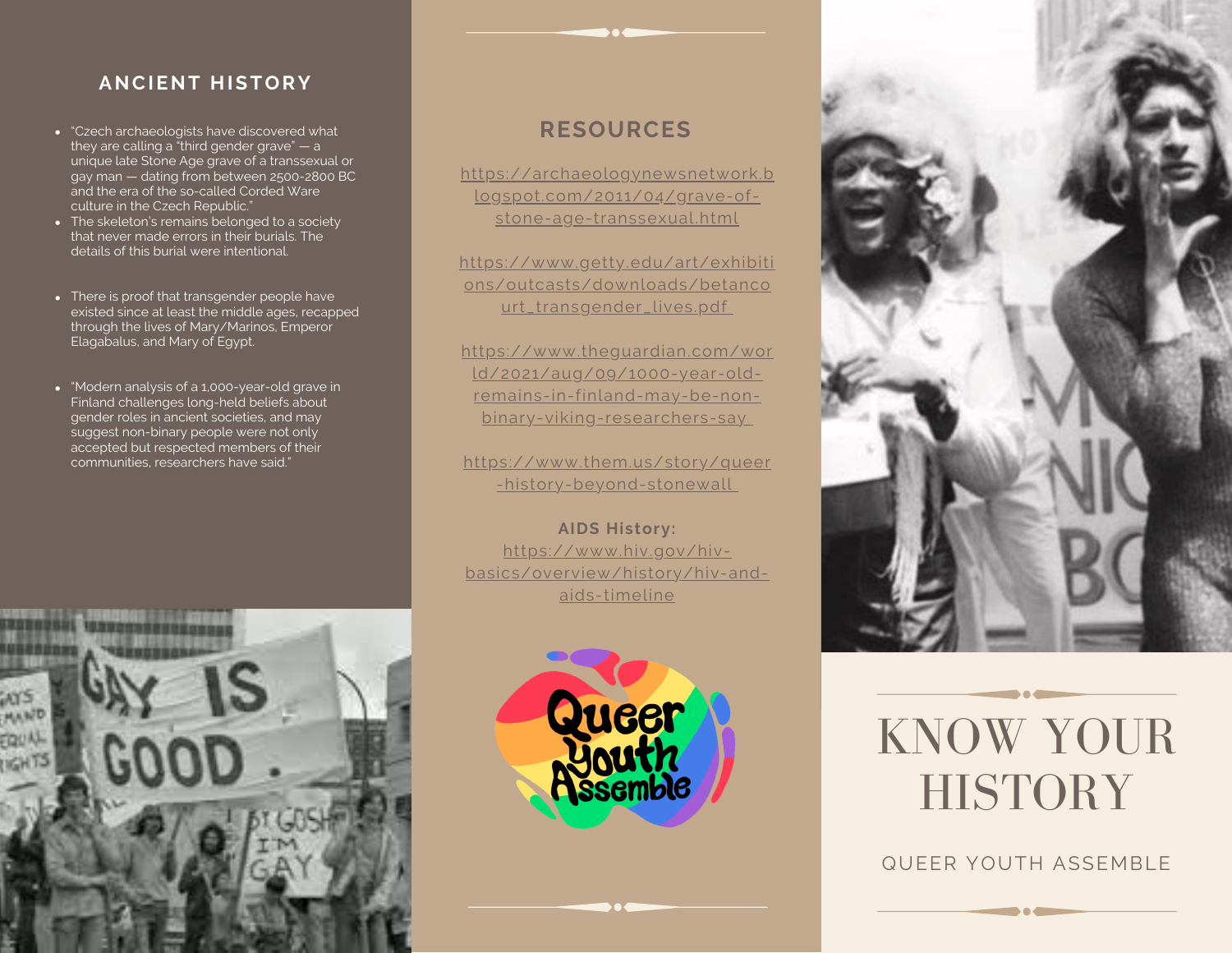## **ANCIENT HISTORY**

- "Czech archaeologists have discovered what they are calling a "third gender grave" — a unique late Stone Age grave of a transsexual or gay man — dating from between 2500-2800 BC and the era of the so-called Corded Ware culture in the Czech Republic."
- The skeleton's remains belonged to a society that never made errors in their burials. The details of this burial were intentional.
- There is proof that transgender people have existed since at least the middle ages, recapped through the lives of Mary/Marinos, Emperor Elagabalus, and Mary of Egypt.
- "Modern analysis of a 1,000-year-old grave in [Finland](https://www.theguardian.com/world/finland) challenges long-held beliefs about gender roles in ancient societies, and may suggest non-binary people were not only accepted but respected members of their communities, researchers have said."



# **RESOURCES**

[https://archaeologynewsnetwork.b](https://archaeologynewsnetwork.blogspot.com/2011/04/grave-of-stone-age-transsexual.html) logspot.com/2011/04/grave-ofstone-age-transsexual.html

[https://www.getty.edu/art/exhibiti](https://www.getty.edu/art/exhibitions/outcasts/downloads/betancourt_transgender_lives.pdf) ons/outcasts/downloads/betanco urt\_transgender\_lives.pdf

[https://www.theguardian.com/wor](https://www.theguardian.com/world/2021/aug/09/1000-year-old-remains-in-finland-may-be-non-binary-viking-researchers-say) ld/2021/aug/09/1000-year-oldremains-in-finland-may-be-nonbinary-viking-researchers-say

[https://www.them.us/story/queer](https://www.them.us/story/queer-history-beyond-stonewall) -history-beyond-stonewall

**AIDS History:** https://www.hiv.gov/hivbasics/overview/history/hiv-andaids-timeline





# KNOW YOUR **HISTORY**

QUEER YOUTH ASSEMBLE